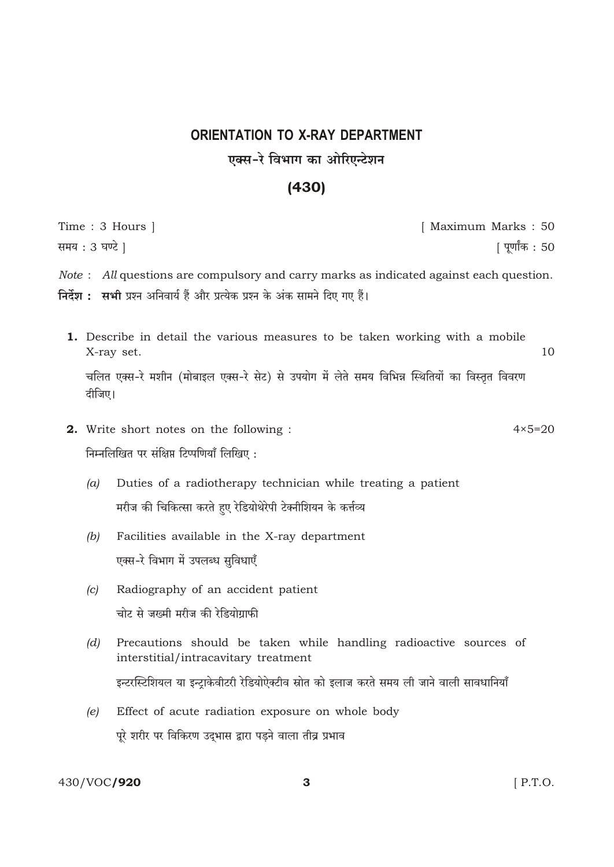## **ORIENTATION TO X-RAY DEPARTMENT** एक्स-रे विभाग का ओरिएन्टेशन

## $(430)$

|                                           | Time : 3 Hours ]                                                                                                                                                                         | [ Maximum Marks : 50 |                   |
|-------------------------------------------|------------------------------------------------------------------------------------------------------------------------------------------------------------------------------------------|----------------------|-------------------|
| समय : 3 घण्टे ]                           |                                                                                                                                                                                          |                      | पूर्णांक : 50     |
|                                           | <i>Note</i> : All questions are compulsory and carry marks as indicated against each question.<br><b>निर्देश :   सभी</b> प्रश्न अनिवार्य हैं और प्रत्येक प्रश्न के अंक सामने दिए गए हैं। |                      |                   |
|                                           | <b>1.</b> Describe in detail the various measures to be taken working with a mobile<br>X-ray set.                                                                                        |                      | 10                |
| दीजिए।                                    | चलित एक्स-रे मशीन (मोबाइल एक्स-रे सेट) से उपयोग में लेते समय विभिन्न स्थितियों का विस्तृत विवरण                                                                                          |                      |                   |
|                                           | <b>2.</b> Write short notes on the following :                                                                                                                                           |                      | $4 \times 5 = 20$ |
| निम्नलिखित पर संक्षिप्त टिप्पणियाँ लिखिए: |                                                                                                                                                                                          |                      |                   |
| (a)                                       | Duties of a radiotherapy technician while treating a patient<br>मरीज की चिकित्सा करते हुए रेडियोथेरेपी टेक्नीशियन के कर्त्तव्य                                                           |                      |                   |
| (b)                                       | Facilities available in the X-ray department<br>एक्स-रे विभाग में उपलब्ध सुविधाएँ                                                                                                        |                      |                   |
| (c)                                       | Radiography of an accident patient<br>चोट से जख्मी मरीज की रेडियोग्राफी                                                                                                                  |                      |                   |
| (d)                                       | Precautions should be taken while handling radioactive sources of<br>interstitial/intracavitary treatment                                                                                |                      |                   |
|                                           | इन्टरस्टिशियल या इन्ट्राकेवीटरी रेडियोऐक्टीव स्रोत को इलाज करते समय ली जाने वाली सावधानियाँ                                                                                              |                      |                   |
|                                           |                                                                                                                                                                                          |                      |                   |

(e) Effect of acute radiation exposure on whole body पूरे शरीर पर विकिरण उद्भास द्वारा पड़ने वाला तीव्र प्रभाव

430/VOC/920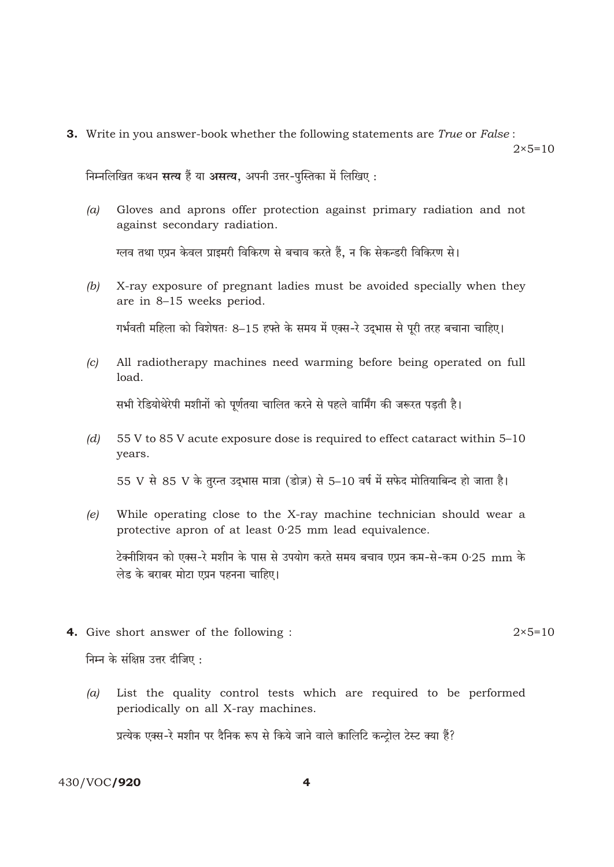3. Write in you answer-book whether the following statements are True or False:

 $2 \times 5 = 10$ 

निम्नलिखित कथन सत्य हैं या असत्य, अपनी उत्तर-पुस्तिका में लिखिए:

Gloves and aprons offer protection against primary radiation and not  $(a)$ against secondary radiation.

ग्लव तथा एप्रन केवल प्राइमरी विकिरण से बचाव करते हैं, न कि सेकन्डरी विकिरण से।

X-ray exposure of pregnant ladies must be avoided specially when they  $(b)$ are in 8-15 weeks period.

गर्भवती महिला को विशेषतः 8–15 हफ्ते के समय में एक्स-रे उदुभास से पूरी तरह बचाना चाहिए।

All radiotherapy machines need warming before being operated on full  $(c)$ load.

सभी रेडियोथेरेपी मशीनों को पूर्णतया चालित करने से पहले वार्मिंग की जरूरत पडती है।

55 V to 85 V acute exposure dose is required to effect cataract within 5-10  $(d)$ vears.

55 V से 85 V के तुरन्त उद्भास मात्रा (डोज़) से 5-10 वर्ष में सफेद मोतियाबिन्द हो जाता है।

While operating close to the X-ray machine technician should wear a  $(e)$ protective apron of at least 0.25 mm lead equivalence.

टेक्नीशियन को एक्स-रे मशीन के पास से उपयोग करते समय बचाव एप्रन कम-से-कम 0·25 mm के लेड के बराबर मोटा एप्रन पहनना चाहिए।

4. Give short answer of the following :

निम्न के संक्षिप्त उत्तर दीजिए:

List the quality control tests which are required to be performed  $(a)$ 

periodically on all X-ray machines.

प्रत्येक एक्स-रे मशीन पर दैनिक रूप से किये जाने वाले कालिटि कन्ट्रोल टेस्ट क्या हैं?

430/VOC/920

 $2 \times 5 = 10$